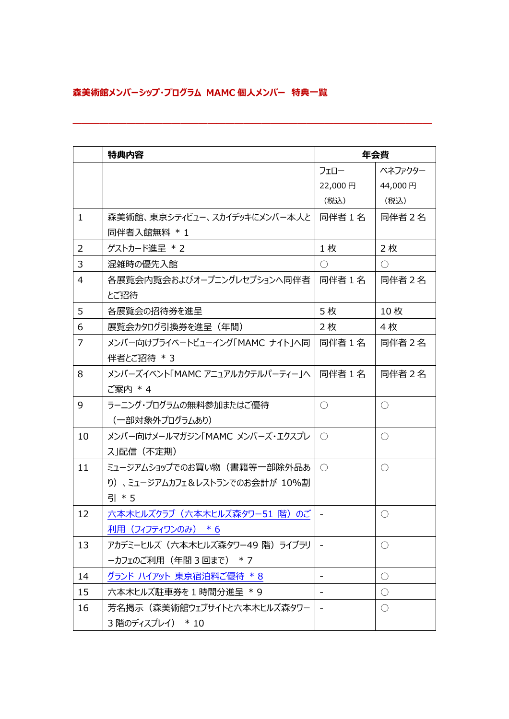## **森美術館メンバーシップ・プログラム MAMC 個人メンバー 特典一覧**

|                | 特典内容                               | 年会費        |            |
|----------------|------------------------------------|------------|------------|
|                |                                    | フェロー       | ベネファクター    |
|                |                                    | 22,000円    | 44,000円    |
|                |                                    | (税込)       | (税込)       |
| $\mathbf{1}$   | 森美術館、東京シティビュー、スカイデッキにメンバー本人と 同伴者1名 |            | 同伴者2名      |
|                | 同伴者入館無料 * 1                        |            |            |
| 2              | ゲストカード進呈 * 2                       | 1枚         | 2枚         |
| 3              | 混雑時の優先入館                           | $\bigcirc$ | $\bigcirc$ |
| $\overline{4}$ | 各展覧会内覧会およびオープニングレセプションへ同伴者         | 同伴者1名      | 同伴者2名      |
|                | とご招待                               |            |            |
| 5              | 各展覧会の招待券を進呈                        | 5枚         | 10枚        |
| 6              | 展覧会カタログ引換券を進呈(年間)                  | 2枚         | 4枚         |
| $\overline{7}$ | メンバー向けプライベートビューイング「MAMC ナイトIへ同     | 同伴者1名      | 同伴者2名      |
|                | 伴者とご招待 * 3                         |            |            |
| 8              | メンバーズイベント「MAMC アニュアルカクテルパーティー」へ    | 同伴者1名      | 同伴者2名      |
|                | ご案内 * 4                            |            |            |
| 9              | ラーニング・プログラムの無料参加またはご優待             | $\bigcirc$ | $\bigcirc$ |
|                | (一部対象外プログラムあり)                     |            |            |
| 10             | メンバー向けメールマガジン「MAMC メンバーズ・エクスプレ     | ( )        | $\bigcirc$ |
|                | ス」配信(不定期)                          |            |            |
| 11             | ミュージアムショップでのお買い物(書籍等一部除外品あ         | $\bigcap$  | $\bigcirc$ |
|                | り)、ミュージアムカフェ&レストランでのお会計が 10%割      |            |            |
|                | 引 * 5                              |            |            |
| 12             | 六本木ヒルズクラブ (六本木ヒルズ森タワー51 階) のご      |            | $\bigcirc$ |
|                | 利用 (フィフティワンのみ) *6                  |            |            |
| 13             | アカデミーヒルズ (六本木ヒルズ森タワー49 階) ライブラリ    |            | $\bigcirc$ |
|                | ーカフェのご利用 (年間 3回まで) * 7             |            |            |
| 14             | グランド ハイアット 東京宿泊料ご優待 * 8            |            | $\bigcirc$ |
| 15             | 六本木ヒルズ駐車券を1時間分進呈 * 9               |            | $\bigcirc$ |
| 16             | 芳名掲示(森美術館ウェブサイトと六本木ヒルズ森タワー         |            | $\bigcirc$ |
|                | 3階のディスプレイ) * 10                    |            |            |

**――――――――――――――――――――――――――――――――――――――――**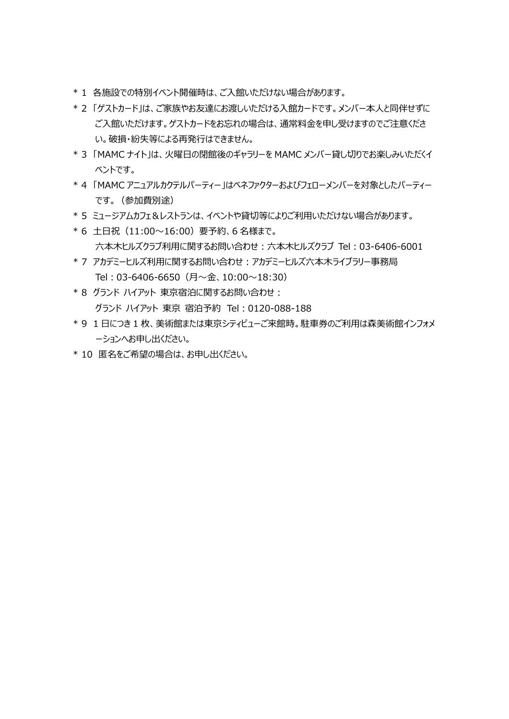- \* 1 各施設での特別イベント開催時は、ご入館いただけない場合があります。
- \* 2 「ゲストカード」は、ご家族やお友達にお渡しいただける入館カードです。メンバー本人と同伴せずに ご入館いただけます。ゲストカードをお忘れの場合は、通常料金を申し受けますのでご注意くださ い。破損・紛失等による再発行はできません。
- \* 3 「MAMC ナイト」は、火曜日の閉館後のギャラリーを MAMC メンバー貸し切りでお楽しみいただくイ ベントです。
- \* 4 「MAMC アニュアルカクテルパーティー」はベネファクターおよびフェローメンバーを対象としたパーティー です。(参加費別途)
- \* 5 ミュージアムカフェ&レストランは、イベントや貸切等によりご利用いただけない場合があります。
- \* 6 土日祝(11:00~16:00)要予約、6 名様まで。 六本木ヒルズクラブ利用に関するお問い合わせ;六本木ヒルズクラブ Tel : 03-6406-6001
- \* 7 アカデミーヒルズ利用に関するお問い合わせ: アカデミーヒルズ六本木ライブラリー事務局 Tel: 03-6406-6650 (月~金、10:00~18:30)
- \* 8 グランド ハイアット 東京宿泊に関するお問い合わせ: グランド ハイアット 東京 宿泊予約 Tel︓0120-088-188
- \* 9 1 日につき 1 枚、美術館または東京シティビューご来館時。駐車券のご利用は森美術館インフォメ ーションへお申し出ください。
- \* 10 匿名をご希望の場合は、お申し出ください。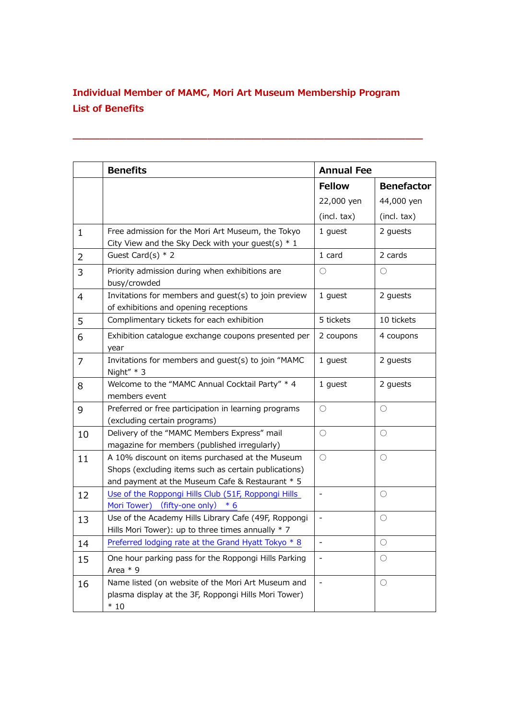## **Individual Member of MAMC, Mori Art Museum Membership Program List of Benefits**

**―――――――――――――――――――――――――――――――――――――――**

|              | <b>Benefits</b>                                                                                                                                            | <b>Annual Fee</b> |                   |
|--------------|------------------------------------------------------------------------------------------------------------------------------------------------------------|-------------------|-------------------|
|              |                                                                                                                                                            | <b>Fellow</b>     | <b>Benefactor</b> |
|              |                                                                                                                                                            | 22,000 yen        | 44,000 yen        |
|              |                                                                                                                                                            | (incl. tax)       | (incl. tax)       |
| $\mathbf{1}$ | Free admission for the Mori Art Museum, the Tokyo<br>City View and the Sky Deck with your guest(s) $*$ 1                                                   | 1 guest           | 2 guests          |
| 2            | Guest Card(s) $*$ 2                                                                                                                                        | 1 card            | 2 cards           |
| 3            | Priority admission during when exhibitions are<br>busy/crowded                                                                                             | $\bigcirc$        | $\bigcirc$        |
| 4            | Invitations for members and guest(s) to join preview<br>of exhibitions and opening receptions                                                              | 1 guest           | 2 guests          |
| 5            | Complimentary tickets for each exhibition                                                                                                                  | 5 tickets         | 10 tickets        |
| 6            | Exhibition catalogue exchange coupons presented per<br>year                                                                                                | 2 coupons         | 4 coupons         |
| 7            | Invitations for members and guest(s) to join "MAMC<br>Night" $*$ 3                                                                                         | 1 guest           | 2 guests          |
| 8            | Welcome to the "MAMC Annual Cocktail Party" * 4<br>members event                                                                                           | 1 guest           | 2 guests          |
| 9            | Preferred or free participation in learning programs<br>(excluding certain programs)                                                                       | $\bigcirc$        | $\bigcirc$        |
| 10           | Delivery of the "MAMC Members Express" mail<br>magazine for members (published irregularly)                                                                | $\bigcirc$        | $\bigcirc$        |
| 11           | A 10% discount on items purchased at the Museum<br>Shops (excluding items such as certain publications)<br>and payment at the Museum Cafe & Restaurant * 5 | $\bigcirc$        | $\bigcirc$        |
| 12           | Use of the Roppongi Hills Club (51F, Roppongi Hills<br>Mori Tower) (fifty-one only) * 6                                                                    |                   | $\bigcirc$        |
| 13           | Use of the Academy Hills Library Cafe (49F, Roppongi<br>Hills Mori Tower): up to three times annually $*$ 7                                                |                   | $\bigcirc$        |
| 14           | Preferred lodging rate at the Grand Hyatt Tokyo * 8                                                                                                        |                   | $\bigcirc$        |
| 15           | One hour parking pass for the Roppongi Hills Parking<br>Area $*$ 9                                                                                         |                   | $\left(\right)$   |
| 16           | Name listed (on website of the Mori Art Museum and<br>plasma display at the 3F, Roppongi Hills Mori Tower)<br>$*10$                                        | $\blacksquare$    | $\bigcirc$        |